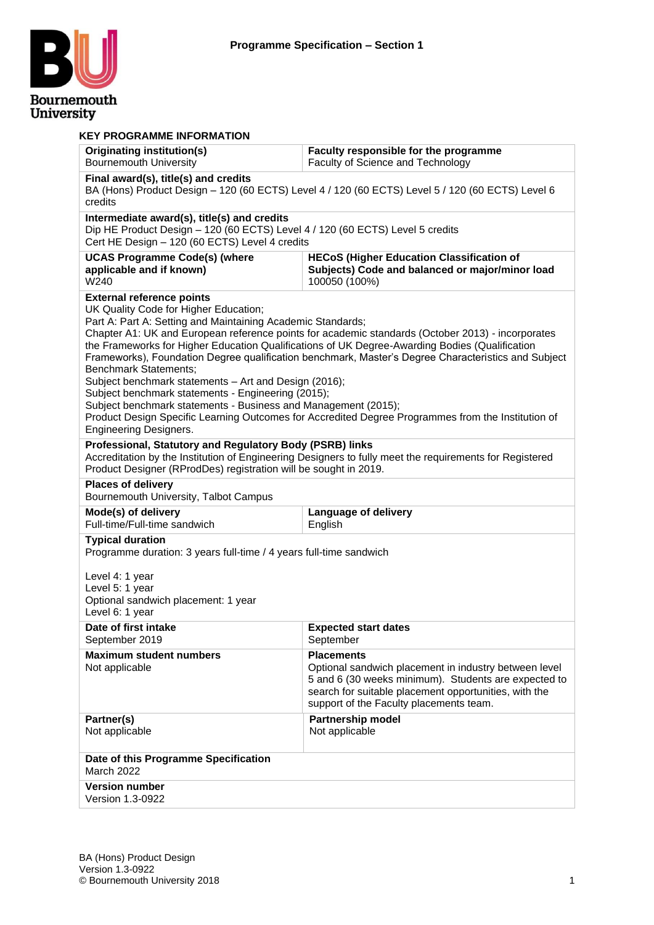

| <b>KEY PROGRAMME INFORMATION</b><br><b>Originating institution(s)</b>                                                                                                                                                                                                                                                                                                                                                                                                                                                                                                                                                                                                                                                                                                                                          | Faculty responsible for the programme                                                                   |  |  |  |  |  |
|----------------------------------------------------------------------------------------------------------------------------------------------------------------------------------------------------------------------------------------------------------------------------------------------------------------------------------------------------------------------------------------------------------------------------------------------------------------------------------------------------------------------------------------------------------------------------------------------------------------------------------------------------------------------------------------------------------------------------------------------------------------------------------------------------------------|---------------------------------------------------------------------------------------------------------|--|--|--|--|--|
| <b>Bournemouth University</b>                                                                                                                                                                                                                                                                                                                                                                                                                                                                                                                                                                                                                                                                                                                                                                                  | Faculty of Science and Technology                                                                       |  |  |  |  |  |
| Final award(s), title(s) and credits<br>BA (Hons) Product Design - 120 (60 ECTS) Level 4 / 120 (60 ECTS) Level 5 / 120 (60 ECTS) Level 6<br>credits                                                                                                                                                                                                                                                                                                                                                                                                                                                                                                                                                                                                                                                            |                                                                                                         |  |  |  |  |  |
| Intermediate award(s), title(s) and credits<br>Dip HE Product Design - 120 (60 ECTS) Level 4 / 120 (60 ECTS) Level 5 credits<br>Cert HE Design - 120 (60 ECTS) Level 4 credits                                                                                                                                                                                                                                                                                                                                                                                                                                                                                                                                                                                                                                 |                                                                                                         |  |  |  |  |  |
| <b>UCAS Programme Code(s) (where</b><br><b>HECoS (Higher Education Classification of</b><br>applicable and if known)<br>Subjects) Code and balanced or major/minor load<br>W240<br>100050 (100%)                                                                                                                                                                                                                                                                                                                                                                                                                                                                                                                                                                                                               |                                                                                                         |  |  |  |  |  |
| <b>External reference points</b><br>UK Quality Code for Higher Education;<br>Part A: Part A: Setting and Maintaining Academic Standards;<br>Chapter A1: UK and European reference points for academic standards (October 2013) - incorporates<br>the Frameworks for Higher Education Qualifications of UK Degree-Awarding Bodies (Qualification<br>Frameworks), Foundation Degree qualification benchmark, Master's Degree Characteristics and Subject<br><b>Benchmark Statements;</b><br>Subject benchmark statements - Art and Design (2016);<br>Subject benchmark statements - Engineering (2015);<br>Subject benchmark statements - Business and Management (2015);<br>Product Design Specific Learning Outcomes for Accredited Degree Programmes from the Institution of<br><b>Engineering Designers.</b> |                                                                                                         |  |  |  |  |  |
| Professional, Statutory and Regulatory Body (PSRB) links<br>Product Designer (RProdDes) registration will be sought in 2019.                                                                                                                                                                                                                                                                                                                                                                                                                                                                                                                                                                                                                                                                                   | Accreditation by the Institution of Engineering Designers to fully meet the requirements for Registered |  |  |  |  |  |
| <b>Places of delivery</b><br>Bournemouth University, Talbot Campus                                                                                                                                                                                                                                                                                                                                                                                                                                                                                                                                                                                                                                                                                                                                             |                                                                                                         |  |  |  |  |  |
| Mode(s) of delivery<br>Full-time/Full-time sandwich                                                                                                                                                                                                                                                                                                                                                                                                                                                                                                                                                                                                                                                                                                                                                            | Language of delivery<br>English                                                                         |  |  |  |  |  |
| <b>Typical duration</b><br>Programme duration: 3 years full-time / 4 years full-time sandwich<br>Level 4: 1 year<br>Level 5: 1 year<br>Optional sandwich placement: 1 year<br>Level 6: 1 year                                                                                                                                                                                                                                                                                                                                                                                                                                                                                                                                                                                                                  |                                                                                                         |  |  |  |  |  |
| Date of first intake<br>September 2019                                                                                                                                                                                                                                                                                                                                                                                                                                                                                                                                                                                                                                                                                                                                                                         | <b>Expected start dates</b><br>September                                                                |  |  |  |  |  |
| <b>Placements</b><br><b>Maximum student numbers</b><br>Not applicable<br>Optional sandwich placement in industry between level<br>5 and 6 (30 weeks minimum). Students are expected to<br>search for suitable placement opportunities, with the<br>support of the Faculty placements team.                                                                                                                                                                                                                                                                                                                                                                                                                                                                                                                     |                                                                                                         |  |  |  |  |  |
| Partner(s)<br><b>Partnership model</b><br>Not applicable<br>Not applicable                                                                                                                                                                                                                                                                                                                                                                                                                                                                                                                                                                                                                                                                                                                                     |                                                                                                         |  |  |  |  |  |
| Date of this Programme Specification<br><b>March 2022</b>                                                                                                                                                                                                                                                                                                                                                                                                                                                                                                                                                                                                                                                                                                                                                      |                                                                                                         |  |  |  |  |  |
| <b>Version number</b><br>Version 1.3-0922                                                                                                                                                                                                                                                                                                                                                                                                                                                                                                                                                                                                                                                                                                                                                                      |                                                                                                         |  |  |  |  |  |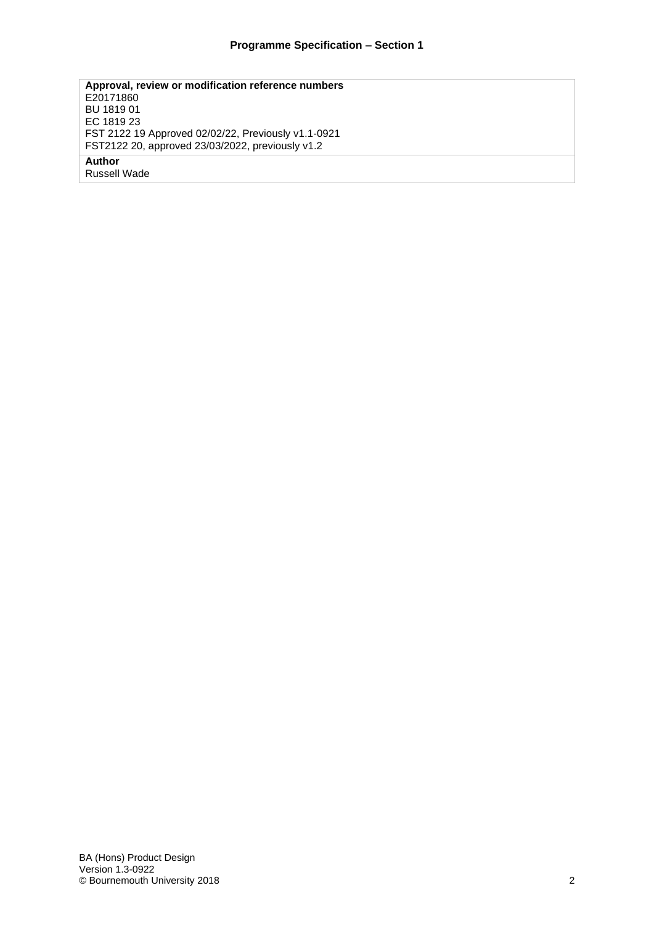**Approval, review or modification reference numbers** E20171860 BU 1819 01 EC 1819 23 FST 2122 19 Approved 02/02/22, Previously v1.1-0921 FST2122 20, approved 23/03/2022, previously v1.2 **Author**

Russell Wade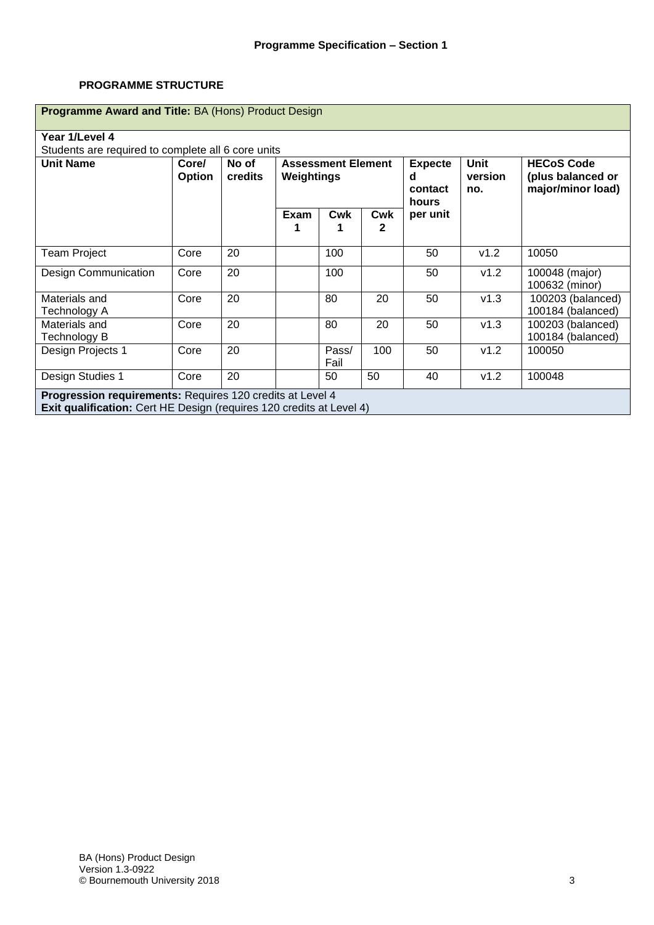#### **PROGRAMME STRUCTURE**

| Programme Award and Title: BA (Hons) Product Design                                                                                             |                 |                  |                                         |               |                                         |                               |                                                             |                                        |
|-------------------------------------------------------------------------------------------------------------------------------------------------|-----------------|------------------|-----------------------------------------|---------------|-----------------------------------------|-------------------------------|-------------------------------------------------------------|----------------------------------------|
| Year 1/Level 4                                                                                                                                  |                 |                  |                                         |               |                                         |                               |                                                             |                                        |
| Students are required to complete all 6 core units                                                                                              |                 |                  |                                         |               |                                         |                               |                                                             |                                        |
| <b>Unit Name</b>                                                                                                                                | Core/<br>Option | No of<br>credits | <b>Assessment Element</b><br>Weightings |               | <b>Expecte</b><br>d<br>contact<br>hours | <b>Unit</b><br>version<br>no. | <b>HECoS Code</b><br>(plus balanced or<br>major/minor load) |                                        |
|                                                                                                                                                 |                 |                  | Exam                                    | <b>Cwk</b>    | <b>Cwk</b><br>$\mathbf{2}$              | per unit                      |                                                             |                                        |
| <b>Team Project</b>                                                                                                                             | Core            | 20               |                                         | 100           |                                         | 50                            | v1.2                                                        | 10050                                  |
| <b>Design Communication</b>                                                                                                                     | Core            | 20               |                                         | 100           |                                         | 50                            | v1.2                                                        | 100048 (major)<br>100632 (minor)       |
| Materials and<br>Technology A                                                                                                                   | Core            | 20               |                                         | 80            | 20                                      | 50                            | v1.3                                                        | 100203 (balanced)<br>100184 (balanced) |
| Materials and<br>Technology B                                                                                                                   | Core            | 20               |                                         | 80            | 20                                      | 50                            | v1.3                                                        | 100203 (balanced)<br>100184 (balanced) |
| Design Projects 1                                                                                                                               | Core            | 20               |                                         | Pass/<br>Fail | 100                                     | 50                            | v1.2                                                        | 100050                                 |
| Design Studies 1                                                                                                                                | Core            | 20               |                                         | 50            | 50                                      | 40                            | v1.2                                                        | 100048                                 |
| <b>Progression requirements: Requires 120 credits at Level 4</b><br><b>Exit qualification:</b> Cert HE Design (requires 120 credits at Level 4) |                 |                  |                                         |               |                                         |                               |                                                             |                                        |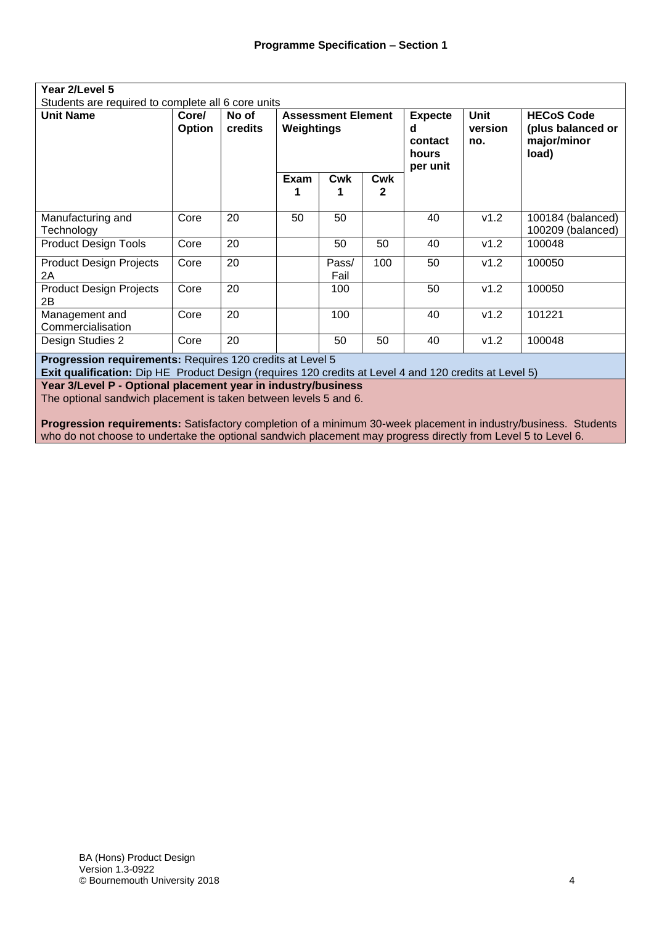| Year 2/Level 5                                            |                                                    |                  |                                         |               |                                                     |                               |                                                                |                                        |
|-----------------------------------------------------------|----------------------------------------------------|------------------|-----------------------------------------|---------------|-----------------------------------------------------|-------------------------------|----------------------------------------------------------------|----------------------------------------|
|                                                           | Students are required to complete all 6 core units |                  |                                         |               |                                                     |                               |                                                                |                                        |
| <b>Unit Name</b>                                          | Core/<br><b>Option</b>                             | No of<br>credits | <b>Assessment Element</b><br>Weightings |               | <b>Expecte</b><br>d<br>contact<br>hours<br>per unit | <b>Unit</b><br>version<br>no. | <b>HECoS Code</b><br>(plus balanced or<br>major/minor<br>load) |                                        |
|                                                           |                                                    |                  | Exam                                    | Cwk           | Cwk<br>2                                            |                               |                                                                |                                        |
| Manufacturing and<br>Technology                           | Core                                               | 20               | 50                                      | 50            |                                                     | 40                            | v1.2                                                           | 100184 (balanced)<br>100209 (balanced) |
| <b>Product Design Tools</b>                               | Core                                               | 20               |                                         | 50            | 50                                                  | 40                            | v1.2                                                           | 100048                                 |
| <b>Product Design Projects</b><br>2A                      | Core                                               | 20               |                                         | Pass/<br>Fail | 100                                                 | 50                            | v1.2                                                           | 100050                                 |
| <b>Product Design Projects</b><br>2B                      | Core                                               | 20               |                                         | 100           |                                                     | 50                            | v1.2                                                           | 100050                                 |
| Management and<br>Commercialisation                       | Core                                               | 20               |                                         | 100           |                                                     | 40                            | v1.2                                                           | 101221                                 |
| Design Studies 2                                          | Core                                               | 20               |                                         | 50            | 50                                                  | 40                            | v1.2                                                           | 100048                                 |
| Progression requirements: Requires 120 credits at Level 5 |                                                    |                  |                                         |               |                                                     |                               |                                                                |                                        |

**Exit qualification:** Dip HE Product Design (requires 120 credits at Level 4 and 120 credits at Level 5)

**Year 3/Level P - Optional placement year in industry/business**

The optional sandwich placement is taken between levels 5 and 6.

**Progression requirements:** Satisfactory completion of a minimum 30-week placement in industry/business. Students who do not choose to undertake the optional sandwich placement may progress directly from Level 5 to Level 6.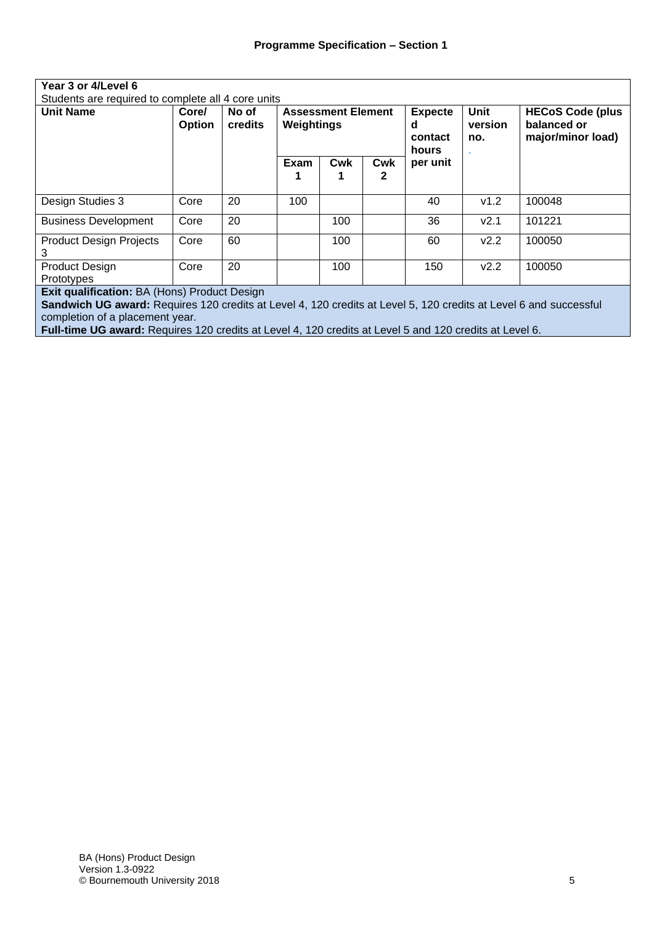| Year 3 or 4/Level 6                 |                                                    |                  |                                         |     |                                         |                                     |                                                             |        |
|-------------------------------------|----------------------------------------------------|------------------|-----------------------------------------|-----|-----------------------------------------|-------------------------------------|-------------------------------------------------------------|--------|
|                                     | Students are required to complete all 4 core units |                  |                                         |     |                                         |                                     |                                                             |        |
| <b>Unit Name</b>                    | Core/<br>Option                                    | No of<br>credits | <b>Assessment Element</b><br>Weightings |     | <b>Expecte</b><br>d<br>contact<br>hours | <b>Unit</b><br>version<br>no.<br>×. | <b>HECoS Code (plus</b><br>balanced or<br>major/minor load) |        |
|                                     |                                                    |                  | Exam                                    | Cwk | Cwk                                     | per unit                            |                                                             |        |
| Design Studies 3                    | Core                                               | 20               | 100                                     |     |                                         | 40                                  | v1.2                                                        | 100048 |
| <b>Business Development</b>         | Core                                               | 20               |                                         | 100 |                                         | 36                                  | V2.1                                                        | 101221 |
| <b>Product Design Projects</b><br>3 | Core                                               | 60               |                                         | 100 |                                         | 60                                  | V2.2                                                        | 100050 |
| <b>Product Design</b><br>Prototypes | Core                                               | 20               |                                         | 100 |                                         | 150                                 | V2.2                                                        | 100050 |

**Exit qualification:** BA (Hons) Product Design

**Sandwich UG award:** Requires 120 credits at Level 4, 120 credits at Level 5, 120 credits at Level 6 and successful completion of a placement year*.*

**Full-time UG award:** Requires 120 credits at Level 4, 120 credits at Level 5 and 120 credits at Level 6*.*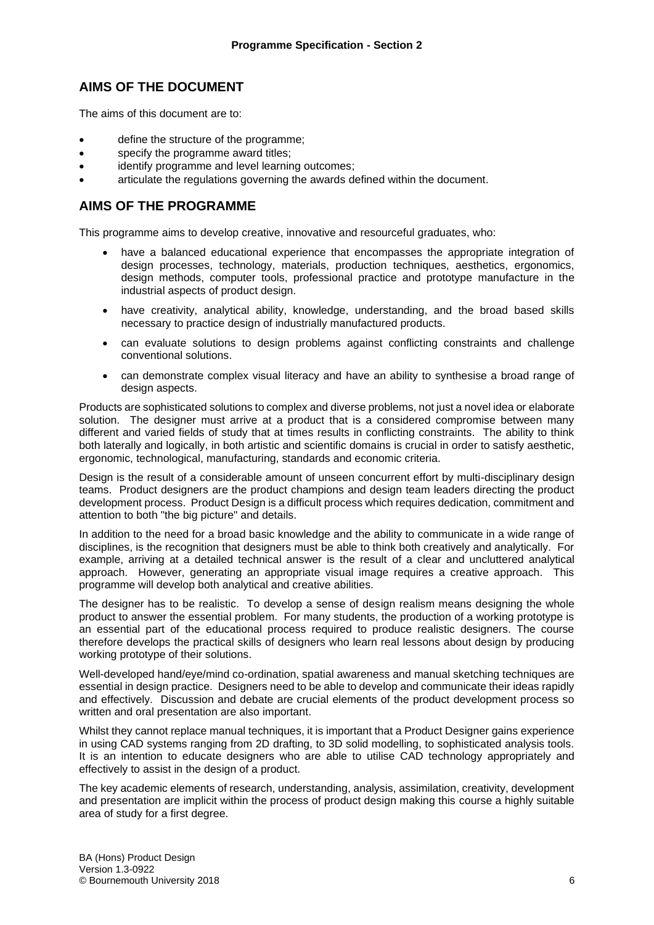### **AIMS OF THE DOCUMENT**

The aims of this document are to:

- define the structure of the programme;
- specify the programme award titles;
- identify programme and level learning outcomes:
- articulate the regulations governing the awards defined within the document.

#### **AIMS OF THE PROGRAMME**

This programme aims to develop creative, innovative and resourceful graduates, who:

- have a balanced educational experience that encompasses the appropriate integration of design processes, technology, materials, production techniques, aesthetics, ergonomics, design methods, computer tools, professional practice and prototype manufacture in the industrial aspects of product design.
- have creativity, analytical ability, knowledge, understanding, and the broad based skills necessary to practice design of industrially manufactured products.
- can evaluate solutions to design problems against conflicting constraints and challenge conventional solutions.
- can demonstrate complex visual literacy and have an ability to synthesise a broad range of design aspects.

Products are sophisticated solutions to complex and diverse problems, not just a novel idea or elaborate solution. The designer must arrive at a product that is a considered compromise between many different and varied fields of study that at times results in conflicting constraints. The ability to think both laterally and logically, in both artistic and scientific domains is crucial in order to satisfy aesthetic, ergonomic, technological, manufacturing, standards and economic criteria.

Design is the result of a considerable amount of unseen concurrent effort by multi-disciplinary design teams. Product designers are the product champions and design team leaders directing the product development process. Product Design is a difficult process which requires dedication, commitment and attention to both "the big picture" and details.

In addition to the need for a broad basic knowledge and the ability to communicate in a wide range of disciplines, is the recognition that designers must be able to think both creatively and analytically. For example, arriving at a detailed technical answer is the result of a clear and uncluttered analytical approach. However, generating an appropriate visual image requires a creative approach. This programme will develop both analytical and creative abilities.

The designer has to be realistic. To develop a sense of design realism means designing the whole product to answer the essential problem. For many students, the production of a working prototype is an essential part of the educational process required to produce realistic designers. The course therefore develops the practical skills of designers who learn real lessons about design by producing working prototype of their solutions.

Well-developed hand/eye/mind co-ordination, spatial awareness and manual sketching techniques are essential in design practice. Designers need to be able to develop and communicate their ideas rapidly and effectively. Discussion and debate are crucial elements of the product development process so written and oral presentation are also important.

Whilst they cannot replace manual techniques, it is important that a Product Designer gains experience in using CAD systems ranging from 2D drafting, to 3D solid modelling, to sophisticated analysis tools. It is an intention to educate designers who are able to utilise CAD technology appropriately and effectively to assist in the design of a product.

The key academic elements of research, understanding, analysis, assimilation, creativity, development and presentation are implicit within the process of product design making this course a highly suitable area of study for a first degree.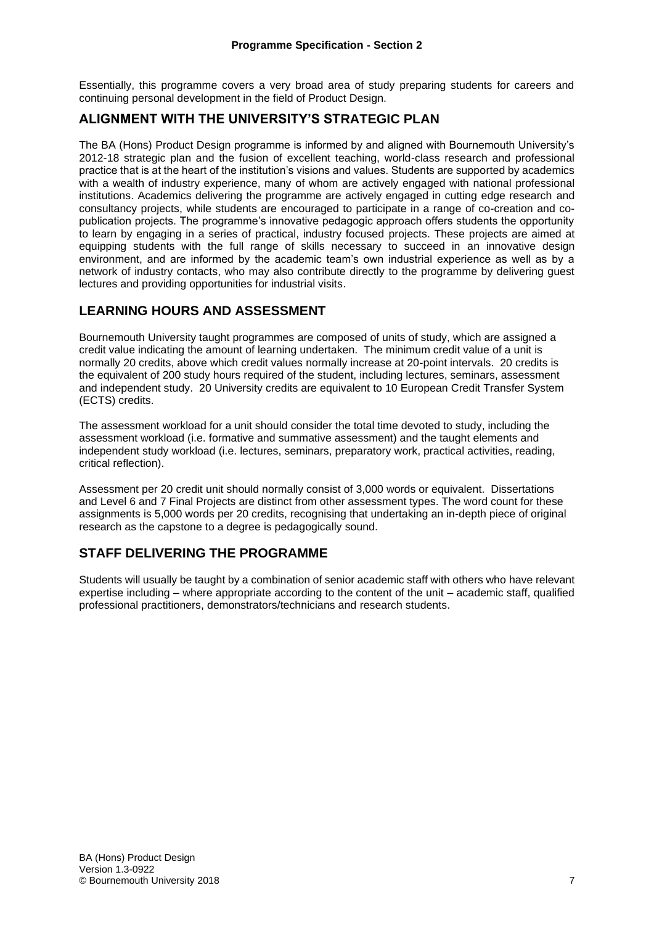Essentially, this programme covers a very broad area of study preparing students for careers and continuing personal development in the field of Product Design.

### **ALIGNMENT WITH THE UNIVERSITY'S STRATEGIC PLAN**

The BA (Hons) Product Design programme is informed by and aligned with Bournemouth University's 2012-18 strategic plan and the fusion of excellent teaching, world-class research and professional practice that is at the heart of the institution's visions and values. Students are supported by academics with a wealth of industry experience, many of whom are actively engaged with national professional institutions. Academics delivering the programme are actively engaged in cutting edge research and consultancy projects, while students are encouraged to participate in a range of co-creation and copublication projects. The programme's innovative pedagogic approach offers students the opportunity to learn by engaging in a series of practical, industry focused projects. These projects are aimed at equipping students with the full range of skills necessary to succeed in an innovative design environment, and are informed by the academic team's own industrial experience as well as by a network of industry contacts, who may also contribute directly to the programme by delivering guest lectures and providing opportunities for industrial visits.

### **LEARNING HOURS AND ASSESSMENT**

Bournemouth University taught programmes are composed of units of study, which are assigned a credit value indicating the amount of learning undertaken. The minimum credit value of a unit is normally 20 credits, above which credit values normally increase at 20-point intervals. 20 credits is the equivalent of 200 study hours required of the student, including lectures, seminars, assessment and independent study. 20 University credits are equivalent to 10 European Credit Transfer System (ECTS) credits.

The assessment workload for a unit should consider the total time devoted to study, including the assessment workload (i.e. formative and summative assessment) and the taught elements and independent study workload (i.e. lectures, seminars, preparatory work, practical activities, reading, critical reflection).

Assessment per 20 credit unit should normally consist of 3,000 words or equivalent. Dissertations and Level 6 and 7 Final Projects are distinct from other assessment types. The word count for these assignments is 5,000 words per 20 credits, recognising that undertaking an in-depth piece of original research as the capstone to a degree is pedagogically sound.

### **STAFF DELIVERING THE PROGRAMME**

Students will usually be taught by a combination of senior academic staff with others who have relevant expertise including – where appropriate according to the content of the unit – academic staff, qualified professional practitioners, demonstrators/technicians and research students.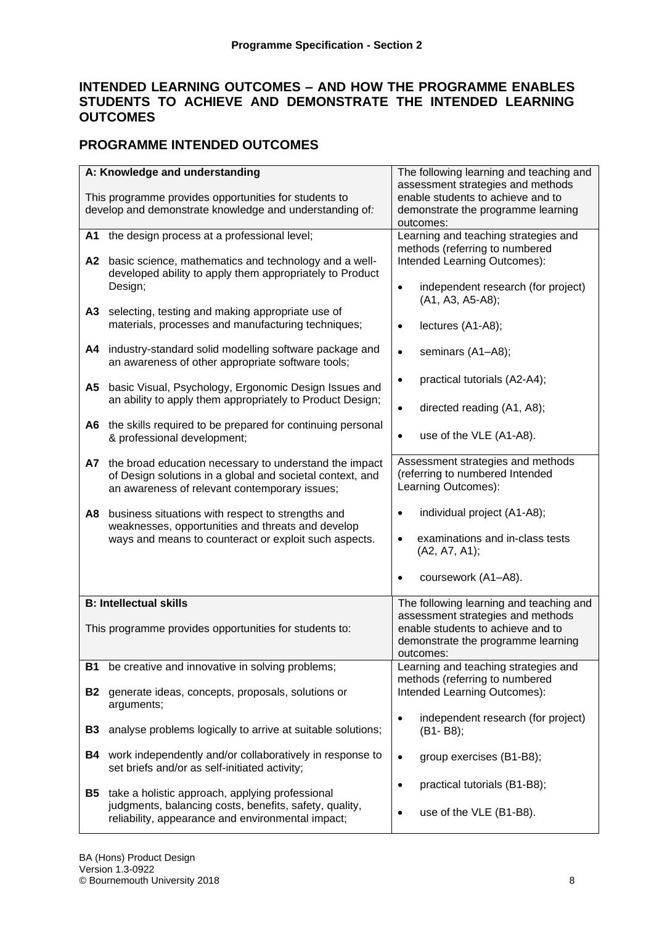### **INTENDED LEARNING OUTCOMES – AND HOW THE PROGRAMME ENABLES STUDENTS TO ACHIEVE AND DEMONSTRATE THE INTENDED LEARNING OUTCOMES**

### **PROGRAMME INTENDED OUTCOMES**

|           | A: Knowledge and understanding<br>This programme provides opportunities for students to                                                                              | The following learning and teaching and<br>assessment strategies and methods<br>enable students to achieve and to                |
|-----------|----------------------------------------------------------------------------------------------------------------------------------------------------------------------|----------------------------------------------------------------------------------------------------------------------------------|
|           | develop and demonstrate knowledge and understanding of:                                                                                                              | demonstrate the programme learning<br>outcomes:                                                                                  |
|           | A1 the design process at a professional level;                                                                                                                       | Learning and teaching strategies and<br>methods (referring to numbered                                                           |
|           | A2 basic science, mathematics and technology and a well-<br>developed ability to apply them appropriately to Product<br>Design;                                      | Intended Learning Outcomes):<br>independent research (for project)<br>$\bullet$<br>(A1, A3, A5-A8);                              |
|           | A3 selecting, testing and making appropriate use of<br>materials, processes and manufacturing techniques;                                                            | lectures (A1-A8);<br>$\bullet$                                                                                                   |
| A4        | industry-standard solid modelling software package and<br>an awareness of other appropriate software tools;                                                          | seminars (A1-A8);<br>$\bullet$                                                                                                   |
| А5        | basic Visual, Psychology, Ergonomic Design Issues and                                                                                                                | practical tutorials (A2-A4);<br>$\bullet$                                                                                        |
|           | an ability to apply them appropriately to Product Design;                                                                                                            | directed reading (A1, A8);<br>$\bullet$                                                                                          |
|           | A6 the skills required to be prepared for continuing personal<br>& professional development;                                                                         | use of the VLE (A1-A8).<br>$\bullet$                                                                                             |
| A7        | the broad education necessary to understand the impact<br>of Design solutions in a global and societal context, and<br>an awareness of relevant contemporary issues; | Assessment strategies and methods<br>(referring to numbered Intended<br>Learning Outcomes):                                      |
| A8        | business situations with respect to strengths and<br>weaknesses, opportunities and threats and develop<br>ways and means to counteract or exploit such aspects.      | individual project (A1-A8);<br>examinations and in-class tests<br>$\bullet$<br>(A2, A7, A1);<br>coursework (A1-A8).<br>$\bullet$ |
|           | <b>B: Intellectual skills</b>                                                                                                                                        | The following learning and teaching and                                                                                          |
|           | This programme provides opportunities for students to:                                                                                                               | assessment strategies and methods<br>enable students to achieve and to<br>demonstrate the programme learning<br>outcomes:        |
| B1        | be creative and innovative in solving problems;                                                                                                                      | Learning and teaching strategies and<br>methods (referring to numbered                                                           |
| <b>B2</b> | generate ideas, concepts, proposals, solutions or<br>arguments;                                                                                                      | Intended Learning Outcomes):                                                                                                     |
| <b>B3</b> | analyse problems logically to arrive at suitable solutions;                                                                                                          | independent research (for project)<br>$\bullet$<br>(B1-B8);                                                                      |
|           | <b>B4</b> work independently and/or collaboratively in response to<br>set briefs and/or as self-initiated activity;                                                  | group exercises (B1-B8);<br>$\bullet$                                                                                            |
| B5.       | take a holistic approach, applying professional<br>judgments, balancing costs, benefits, safety, quality,<br>reliability, appearance and environmental impact;       | practical tutorials (B1-B8);<br>$\bullet$<br>use of the VLE (B1-B8).<br>$\bullet$                                                |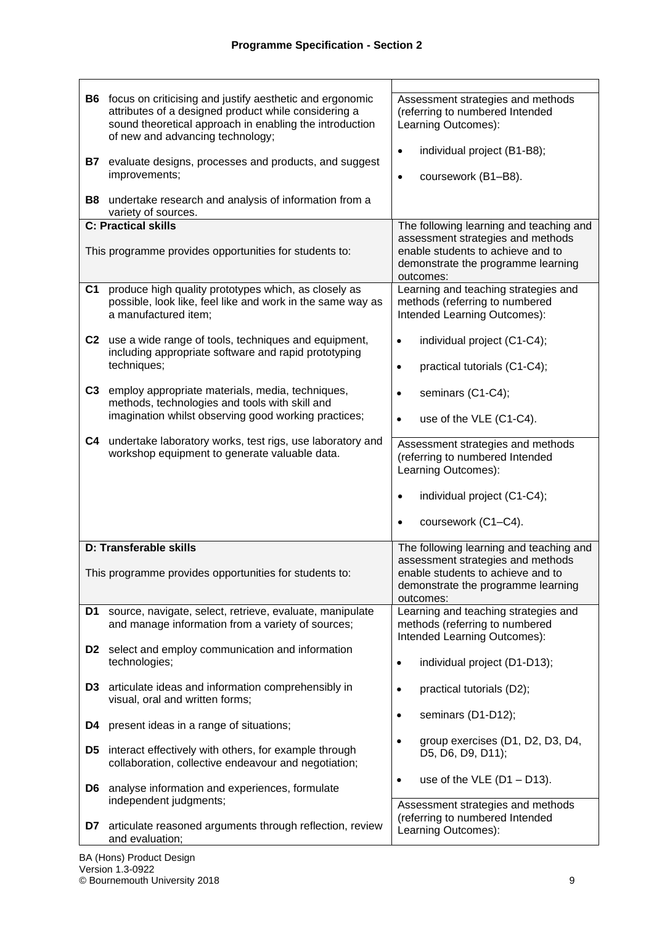| B7             | <b>B6</b> focus on criticising and justify aesthetic and ergonomic<br>attributes of a designed product while considering a<br>sound theoretical approach in enabling the introduction<br>of new and advancing technology;<br>evaluate designs, processes and products, and suggest<br>improvements; | Assessment strategies and methods<br>(referring to numbered Intended<br>Learning Outcomes):<br>individual project (B1-B8);<br>$\bullet$<br>coursework (B1-B8).<br>$\bullet$ |
|----------------|-----------------------------------------------------------------------------------------------------------------------------------------------------------------------------------------------------------------------------------------------------------------------------------------------------|-----------------------------------------------------------------------------------------------------------------------------------------------------------------------------|
| <b>B8</b>      | undertake research and analysis of information from a<br>variety of sources.                                                                                                                                                                                                                        |                                                                                                                                                                             |
|                | <b>C: Practical skills</b>                                                                                                                                                                                                                                                                          | The following learning and teaching and                                                                                                                                     |
|                | This programme provides opportunities for students to:                                                                                                                                                                                                                                              | assessment strategies and methods<br>enable students to achieve and to<br>demonstrate the programme learning<br>outcomes:                                                   |
| C <sub>1</sub> | produce high quality prototypes which, as closely as<br>possible, look like, feel like and work in the same way as<br>a manufactured item;                                                                                                                                                          | Learning and teaching strategies and<br>methods (referring to numbered<br>Intended Learning Outcomes):                                                                      |
| C <sub>2</sub> | use a wide range of tools, techniques and equipment,<br>including appropriate software and rapid prototyping<br>techniques;                                                                                                                                                                         | individual project (C1-C4);<br>$\bullet$<br>practical tutorials (C1-C4);<br>$\bullet$                                                                                       |
| C <sub>3</sub> | employ appropriate materials, media, techniques,<br>methods, technologies and tools with skill and<br>imagination whilst observing good working practices;                                                                                                                                          | seminars (C1-C4);<br>$\bullet$<br>use of the VLE (C1-C4).<br>$\bullet$                                                                                                      |
| C4             | undertake laboratory works, test rigs, use laboratory and<br>workshop equipment to generate valuable data.                                                                                                                                                                                          | Assessment strategies and methods<br>(referring to numbered Intended<br>Learning Outcomes):<br>individual project (C1-C4);<br>$\bullet$<br>coursework (C1-C4).<br>$\bullet$ |
|                | D: Transferable skills                                                                                                                                                                                                                                                                              | The following learning and teaching and                                                                                                                                     |
|                | This programme provides opportunities for students to:                                                                                                                                                                                                                                              | assessment strategies and methods<br>enable students to achieve and to<br>demonstrate the programme learning<br>outcomes:                                                   |
| D1             | source, navigate, select, retrieve, evaluate, manipulate<br>and manage information from a variety of sources;                                                                                                                                                                                       | Learning and teaching strategies and<br>methods (referring to numbered<br>Intended Learning Outcomes):                                                                      |
| D <sub>2</sub> | select and employ communication and information<br>technologies;                                                                                                                                                                                                                                    | individual project (D1-D13);<br>$\bullet$                                                                                                                                   |
| D3.            | articulate ideas and information comprehensibly in<br>visual, oral and written forms;                                                                                                                                                                                                               | practical tutorials (D2);<br>$\bullet$                                                                                                                                      |
| D4             | present ideas in a range of situations;                                                                                                                                                                                                                                                             | seminars (D1-D12);<br>$\bullet$                                                                                                                                             |
| D5             | interact effectively with others, for example through<br>collaboration, collective endeavour and negotiation;                                                                                                                                                                                       | group exercises (D1, D2, D3, D4,<br>D5, D6, D9, D11);                                                                                                                       |
| D6.            | analyse information and experiences, formulate<br>independent judgments;                                                                                                                                                                                                                            | use of the VLE $(D1 - D13)$ .<br>$\bullet$<br>Assessment strategies and methods                                                                                             |
| D7             | articulate reasoned arguments through reflection, review<br>and evaluation;                                                                                                                                                                                                                         | (referring to numbered Intended<br>Learning Outcomes):                                                                                                                      |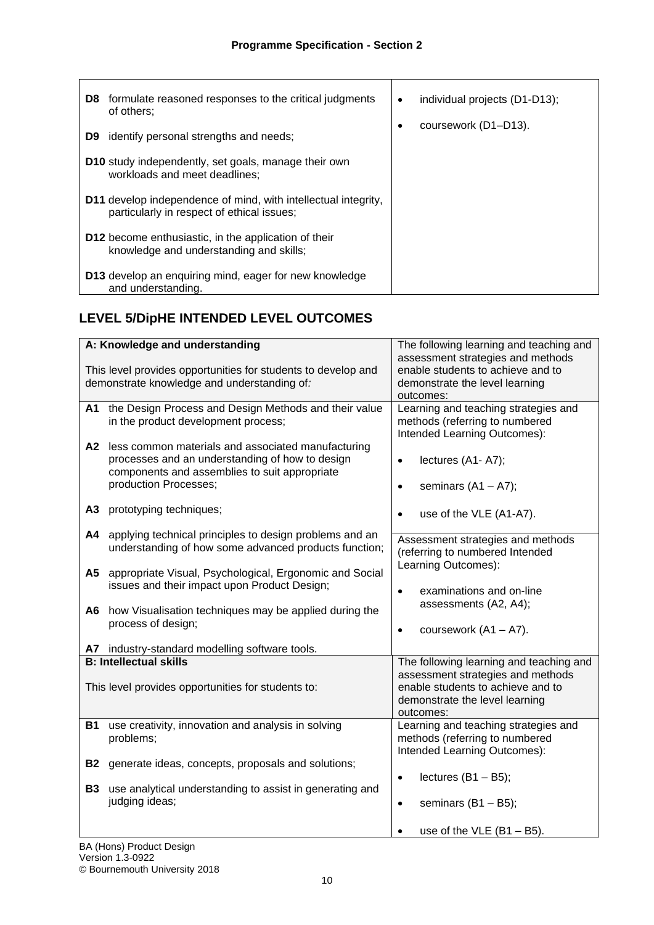| <b>D8</b> formulate reasoned responses to the critical judgments<br>of others:                               | individual projects (D1-D13);<br>٠ |
|--------------------------------------------------------------------------------------------------------------|------------------------------------|
| identify personal strengths and needs;<br>D9.                                                                | coursework (D1-D13).               |
| <b>D10</b> study independently, set goals, manage their own<br>workloads and meet deadlines:                 |                                    |
| D11 develop independence of mind, with intellectual integrity,<br>particularly in respect of ethical issues; |                                    |
| <b>D12</b> become enthusiastic, in the application of their<br>knowledge and understanding and skills;       |                                    |
| D13 develop an enquiring mind, eager for new knowledge<br>and understanding.                                 |                                    |

## **LEVEL 5/DipHE INTENDED LEVEL OUTCOMES**

|           | A: Knowledge and understanding                                                                                                                                                                                                                                                     | The following learning and teaching and                                                                                                                                        |
|-----------|------------------------------------------------------------------------------------------------------------------------------------------------------------------------------------------------------------------------------------------------------------------------------------|--------------------------------------------------------------------------------------------------------------------------------------------------------------------------------|
|           | This level provides opportunities for students to develop and<br>demonstrate knowledge and understanding of:                                                                                                                                                                       | assessment strategies and methods<br>enable students to achieve and to<br>demonstrate the level learning<br>outcomes:                                                          |
| A2        | A1 the Design Process and Design Methods and their value<br>in the product development process;<br>less common materials and associated manufacturing<br>processes and an understanding of how to design<br>components and assemblies to suit appropriate<br>production Processes; | Learning and teaching strategies and<br>methods (referring to numbered<br>Intended Learning Outcomes):<br>lectures (A1-A7);<br>$\bullet$<br>seminars $(A1 - A7);$<br>$\bullet$ |
| A3        | prototyping techniques;                                                                                                                                                                                                                                                            | use of the VLE (A1-A7).<br>$\bullet$                                                                                                                                           |
| A4        | applying technical principles to design problems and an<br>understanding of how some advanced products function;                                                                                                                                                                   | Assessment strategies and methods<br>(referring to numbered Intended                                                                                                           |
| A5<br>A6  | appropriate Visual, Psychological, Ergonomic and Social<br>issues and their impact upon Product Design;<br>how Visualisation techniques may be applied during the<br>process of design;                                                                                            | Learning Outcomes):<br>examinations and on-line<br>$\bullet$<br>assessments (A2, A4);                                                                                          |
|           | A7 industry-standard modelling software tools.                                                                                                                                                                                                                                     | coursework $(A1 - A7)$ .                                                                                                                                                       |
|           | <b>B: Intellectual skills</b>                                                                                                                                                                                                                                                      | The following learning and teaching and                                                                                                                                        |
|           | This level provides opportunities for students to:                                                                                                                                                                                                                                 | assessment strategies and methods<br>enable students to achieve and to<br>demonstrate the level learning<br>outcomes:                                                          |
| <b>B1</b> | use creativity, innovation and analysis in solving<br>problems;                                                                                                                                                                                                                    | Learning and teaching strategies and<br>methods (referring to numbered<br>Intended Learning Outcomes):                                                                         |
| <b>B2</b> | generate ideas, concepts, proposals and solutions;                                                                                                                                                                                                                                 | lectures $(B1 - B5)$ ;<br>$\bullet$                                                                                                                                            |
| <b>B3</b> | use analytical understanding to assist in generating and<br>judging ideas;                                                                                                                                                                                                         | seminars $(B1 - B5)$ ;<br>$\bullet$                                                                                                                                            |
|           |                                                                                                                                                                                                                                                                                    | use of the $VLE$ (B1 - B5).                                                                                                                                                    |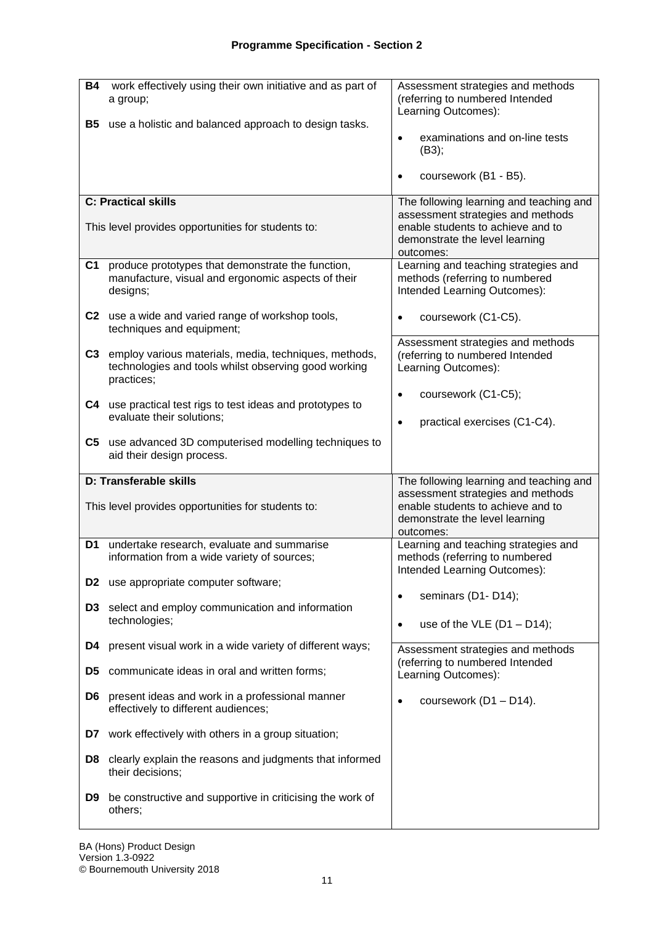| <b>B4</b><br><b>B5</b>           | work effectively using their own initiative and as part of<br>a group;<br>use a holistic and balanced approach to design tasks. | Assessment strategies and methods<br>(referring to numbered Intended<br>Learning Outcomes):<br>examinations and on-line tests<br>$\bullet$<br>(B3);<br>coursework (B1 - B5). |
|----------------------------------|---------------------------------------------------------------------------------------------------------------------------------|------------------------------------------------------------------------------------------------------------------------------------------------------------------------------|
|                                  | <b>C: Practical skills</b>                                                                                                      | The following learning and teaching and                                                                                                                                      |
|                                  | This level provides opportunities for students to:                                                                              | assessment strategies and methods<br>enable students to achieve and to<br>demonstrate the level learning<br>outcomes:                                                        |
| C <sub>1</sub>                   | produce prototypes that demonstrate the function,<br>manufacture, visual and ergonomic aspects of their<br>designs;             | Learning and teaching strategies and<br>methods (referring to numbered<br>Intended Learning Outcomes):                                                                       |
|                                  | C2 use a wide and varied range of workshop tools,<br>techniques and equipment;                                                  | coursework (C1-C5).<br>$\bullet$                                                                                                                                             |
|                                  | C3 employ various materials, media, techniques, methods,<br>technologies and tools whilst observing good working<br>practices;  | Assessment strategies and methods<br>(referring to numbered Intended<br>Learning Outcomes):                                                                                  |
|                                  | C4 use practical test rigs to test ideas and prototypes to<br>evaluate their solutions;                                         | coursework (C1-C5);<br>$\bullet$<br>practical exercises (C1-C4).<br>$\bullet$                                                                                                |
|                                  | C5 use advanced 3D computerised modelling techniques to<br>aid their design process.                                            |                                                                                                                                                                              |
|                                  | D: Transferable skills<br>This level provides opportunities for students to:                                                    | The following learning and teaching and<br>assessment strategies and methods<br>enable students to achieve and to<br>demonstrate the level learning<br>outcomes:             |
| D1                               | undertake research, evaluate and summarise<br>information from a wide variety of sources;                                       | Learning and teaching strategies and<br>methods (referring to numbered<br>Intended Learning Outcomes):                                                                       |
| D <sub>2</sub><br>D <sub>3</sub> | use appropriate computer software;<br>select and employ communication and information                                           | seminars (D1-D14);<br>$\bullet$                                                                                                                                              |
|                                  | technologies;                                                                                                                   | use of the VLE $(D1 - D14)$ ;<br>$\bullet$                                                                                                                                   |
| D4<br>D <sub>5</sub>             | present visual work in a wide variety of different ways;<br>communicate ideas in oral and written forms;                        | Assessment strategies and methods<br>(referring to numbered Intended<br>Learning Outcomes):                                                                                  |
| D6                               | present ideas and work in a professional manner<br>effectively to different audiences;                                          | coursework (D1 - D14).<br>$\bullet$                                                                                                                                          |
| D7                               | work effectively with others in a group situation;                                                                              |                                                                                                                                                                              |
| D8                               | clearly explain the reasons and judgments that informed<br>their decisions;                                                     |                                                                                                                                                                              |
| D9                               | be constructive and supportive in criticising the work of<br>others;                                                            |                                                                                                                                                                              |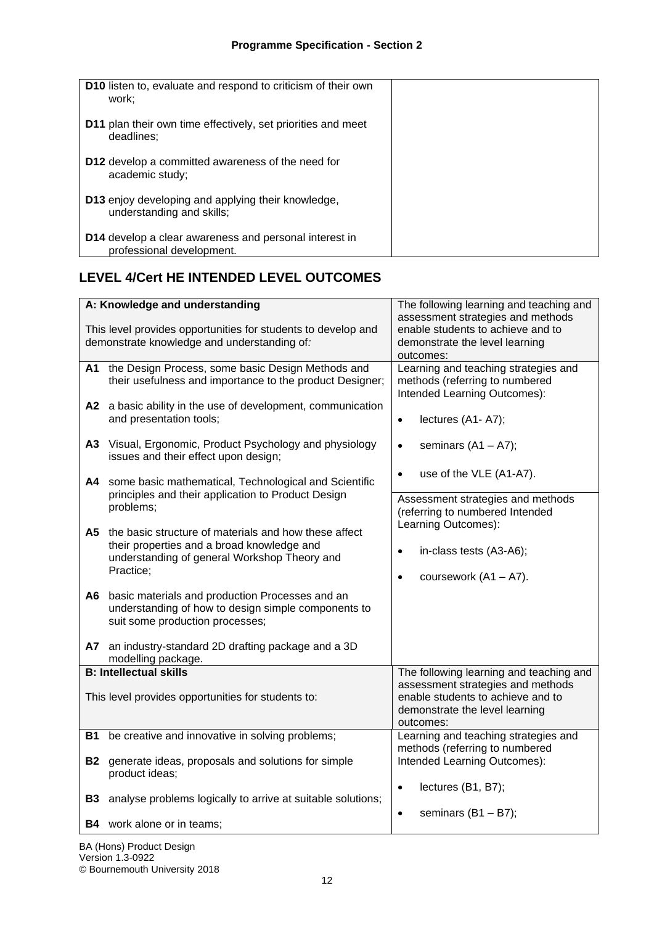| D10 listen to, evaluate and respond to criticism of their own<br>work:              |  |
|-------------------------------------------------------------------------------------|--|
| D11 plan their own time effectively, set priorities and meet<br>deadlines:          |  |
| <b>D12</b> develop a committed awareness of the need for<br>academic study;         |  |
| D13 enjoy developing and applying their knowledge,<br>understanding and skills;     |  |
| D14 develop a clear awareness and personal interest in<br>professional development. |  |

# **LEVEL 4/Cert HE INTENDED LEVEL OUTCOMES**

|           | A: Knowledge and understanding                                                                                                                                   | The following learning and teaching and                                                                                                                          |
|-----------|------------------------------------------------------------------------------------------------------------------------------------------------------------------|------------------------------------------------------------------------------------------------------------------------------------------------------------------|
|           | This level provides opportunities for students to develop and<br>demonstrate knowledge and understanding of:                                                     | assessment strategies and methods<br>enable students to achieve and to<br>demonstrate the level learning<br>outcomes:                                            |
| A1 I      | the Design Process, some basic Design Methods and<br>their usefulness and importance to the product Designer;                                                    | Learning and teaching strategies and<br>methods (referring to numbered<br>Intended Learning Outcomes):                                                           |
|           | A2 a basic ability in the use of development, communication<br>and presentation tools;                                                                           | lectures (A1-A7);<br>$\bullet$                                                                                                                                   |
|           | A3 Visual, Ergonomic, Product Psychology and physiology<br>issues and their effect upon design;                                                                  | seminars $(A1 - A7);$<br>$\bullet$                                                                                                                               |
| A4 -      | some basic mathematical, Technological and Scientific                                                                                                            | use of the VLE (A1-A7).<br>$\bullet$                                                                                                                             |
|           | principles and their application to Product Design<br>problems;                                                                                                  | Assessment strategies and methods<br>(referring to numbered Intended                                                                                             |
| A5.       | the basic structure of materials and how these affect<br>their properties and a broad knowledge and<br>understanding of general Workshop Theory and<br>Practice; | Learning Outcomes):<br>in-class tests (A3-A6);<br>$\bullet$<br>coursework $(A1 - A7)$ .<br>$\bullet$                                                             |
| A6        | basic materials and production Processes and an<br>understanding of how to design simple components to<br>suit some production processes;                        |                                                                                                                                                                  |
| <b>A7</b> | an industry-standard 2D drafting package and a 3D<br>modelling package.                                                                                          |                                                                                                                                                                  |
|           | <b>B: Intellectual skills</b><br>This level provides opportunities for students to:                                                                              | The following learning and teaching and<br>assessment strategies and methods<br>enable students to achieve and to<br>demonstrate the level learning<br>outcomes: |
| <b>B1</b> | be creative and innovative in solving problems;                                                                                                                  | Learning and teaching strategies and<br>methods (referring to numbered                                                                                           |
| <b>B2</b> | generate ideas, proposals and solutions for simple<br>product ideas;                                                                                             | Intended Learning Outcomes):                                                                                                                                     |
| <b>B3</b> | analyse problems logically to arrive at suitable solutions;                                                                                                      | lectures (B1, B7);<br>$\bullet$                                                                                                                                  |
|           | <b>B4</b> work alone or in teams;                                                                                                                                | seminars $(B1 - B7)$ ;<br>$\bullet$                                                                                                                              |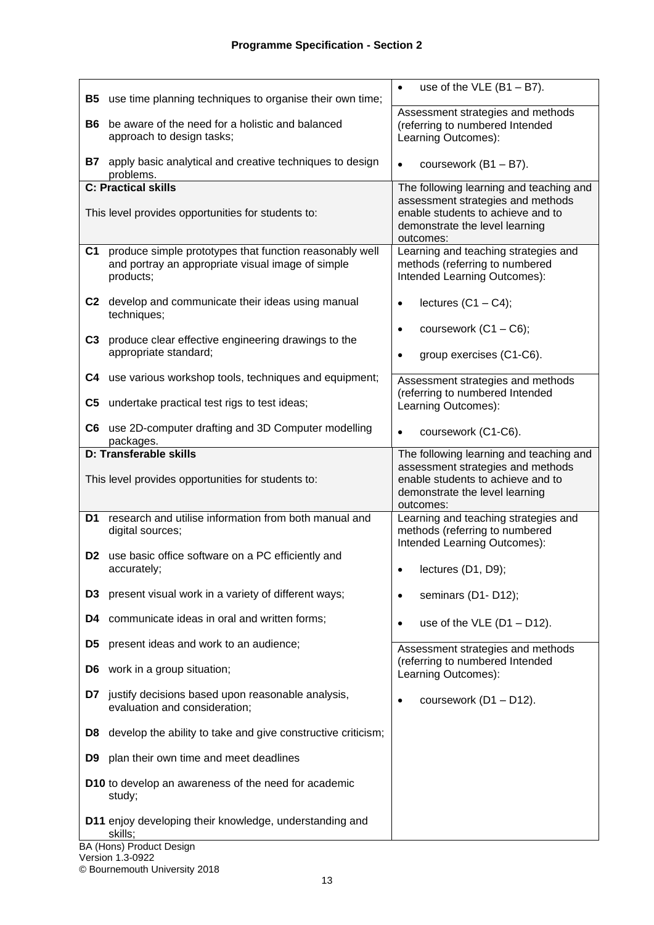| <b>B5</b>      | use time planning techniques to organise their own time;                                                                  | use of the $VLE$ (B1 - B7).<br>$\bullet$                                                                              |
|----------------|---------------------------------------------------------------------------------------------------------------------------|-----------------------------------------------------------------------------------------------------------------------|
| B6             | be aware of the need for a holistic and balanced<br>approach to design tasks;                                             | Assessment strategies and methods<br>(referring to numbered Intended<br>Learning Outcomes):                           |
| B7 .           | apply basic analytical and creative techniques to design<br>problems.                                                     | coursework (B1 - B7).<br>$\bullet$                                                                                    |
|                | <b>C: Practical skills</b>                                                                                                | The following learning and teaching and                                                                               |
|                | This level provides opportunities for students to:                                                                        | assessment strategies and methods<br>enable students to achieve and to<br>demonstrate the level learning<br>outcomes: |
| C <sub>1</sub> | produce simple prototypes that function reasonably well<br>and portray an appropriate visual image of simple<br>products; | Learning and teaching strategies and<br>methods (referring to numbered<br>Intended Learning Outcomes):                |
|                | C2 develop and communicate their ideas using manual<br>techniques;                                                        | lectures $(C1 - C4)$ ;<br>$\bullet$                                                                                   |
| C3             | produce clear effective engineering drawings to the                                                                       | coursework $(C1 - C6)$ ;<br>$\bullet$                                                                                 |
|                | appropriate standard;                                                                                                     | group exercises (C1-C6).<br>$\bullet$                                                                                 |
|                | C4 use various workshop tools, techniques and equipment;                                                                  | Assessment strategies and methods                                                                                     |
| C5             | undertake practical test rigs to test ideas;                                                                              | (referring to numbered Intended<br>Learning Outcomes):                                                                |
|                | C6 use 2D-computer drafting and 3D Computer modelling<br>packages.                                                        | coursework (C1-C6).<br>$\bullet$                                                                                      |
|                | <b>D: Transferable skills</b>                                                                                             | The following learning and teaching and                                                                               |
|                | This level provides opportunities for students to:                                                                        | assessment strategies and methods<br>enable students to achieve and to<br>demonstrate the level learning<br>outcomes: |
| D1             | research and utilise information from both manual and<br>digital sources;                                                 | Learning and teaching strategies and<br>methods (referring to numbered<br>Intended Learning Outcomes):                |
|                | <b>D2</b> use basic office software on a PC efficiently and<br>accurately;                                                | lectures (D1, D9);                                                                                                    |
| D3             | present visual work in a variety of different ways;                                                                       | seminars (D1-D12);<br>$\bullet$                                                                                       |
| D4.            | communicate ideas in oral and written forms;                                                                              | use of the VLE $(D1 - D12)$ .<br>$\bullet$                                                                            |
| D5             | present ideas and work to an audience;                                                                                    | Assessment strategies and methods                                                                                     |
|                | <b>D6</b> work in a group situation;                                                                                      | (referring to numbered Intended<br>Learning Outcomes):                                                                |
| D7             | justify decisions based upon reasonable analysis,<br>evaluation and consideration;                                        | coursework (D1 - D12).<br>$\bullet$                                                                                   |
| D8.            | develop the ability to take and give constructive criticism;                                                              |                                                                                                                       |
| D9.            | plan their own time and meet deadlines                                                                                    |                                                                                                                       |
|                | D10 to develop an awareness of the need for academic<br>study;                                                            |                                                                                                                       |
|                | D11 enjoy developing their knowledge, understanding and<br>skills;<br>BA (Hons) Product Design                            |                                                                                                                       |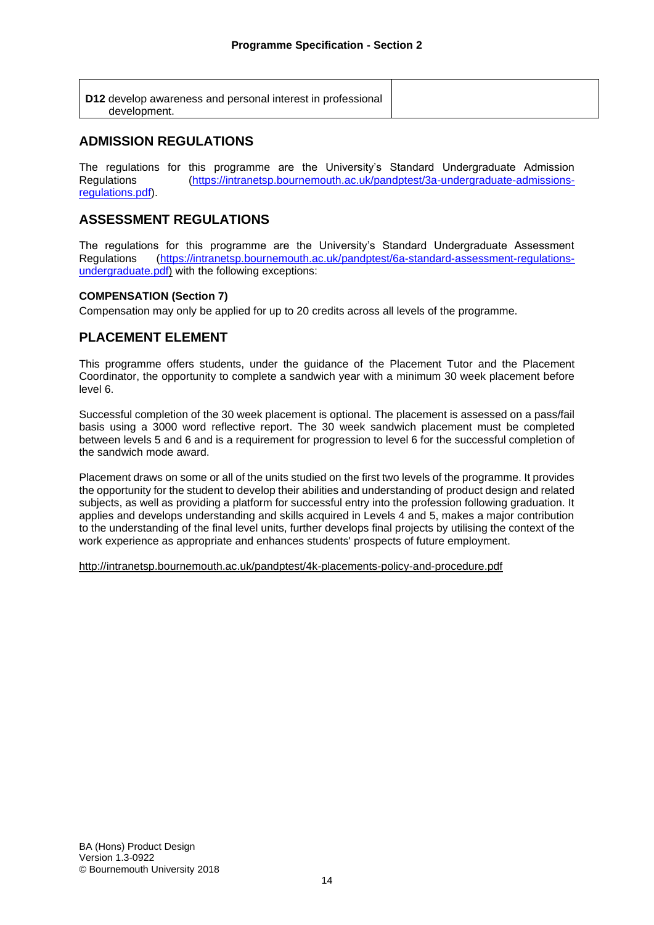| D12 develop awareness and personal interest in professional |
|-------------------------------------------------------------|
| development.                                                |

### **ADMISSION REGULATIONS**

The regulations for this programme are the University's Standard Undergraduate Admission Regulations [\(https://intranetsp.bournemouth.ac.uk/pandptest/3a-undergraduate-admissions](https://intranetsp.bournemouth.ac.uk/pandptest/3a-undergraduate-admissions-regulations.pdf)[regulations.pdf\)](https://intranetsp.bournemouth.ac.uk/pandptest/3a-undergraduate-admissions-regulations.pdf).

### **ASSESSMENT REGULATIONS**

The regulations for this programme are the University's Standard Undergraduate Assessment Regulations [\(https://intranetsp.bournemouth.ac.uk/pandptest/6a-standard-assessment-regulations](https://intranetsp.bournemouth.ac.uk/pandptest/6a-standard-assessment-regulations-undergraduate.pdf)[undergraduate.pdf\)](https://intranetsp.bournemouth.ac.uk/pandptest/6a-standard-assessment-regulations-undergraduate.pdf) with the following exceptions:

#### **COMPENSATION (Section 7)**

Compensation may only be applied for up to 20 credits across all levels of the programme.

### **PLACEMENT ELEMENT**

This programme offers students, under the guidance of the Placement Tutor and the Placement Coordinator, the opportunity to complete a sandwich year with a minimum 30 week placement before level 6.

Successful completion of the 30 week placement is optional. The placement is assessed on a pass/fail basis using a 3000 word reflective report. The 30 week sandwich placement must be completed between levels 5 and 6 and is a requirement for progression to level 6 for the successful completion of the sandwich mode award.

Placement draws on some or all of the units studied on the first two levels of the programme. It provides the opportunity for the student to develop their abilities and understanding of product design and related subjects, as well as providing a platform for successful entry into the profession following graduation. It applies and develops understanding and skills acquired in Levels 4 and 5, makes a major contribution to the understanding of the final level units, further develops final projects by utilising the context of the work experience as appropriate and enhances students' prospects of future employment.

<http://intranetsp.bournemouth.ac.uk/pandptest/4k-placements-policy-and-procedure.pdf>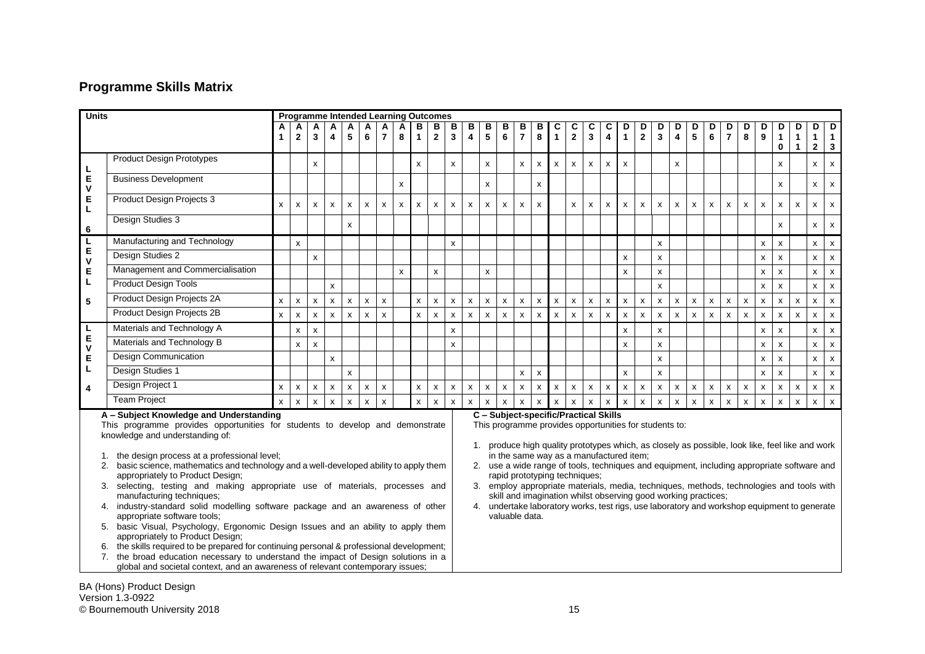# **Programme Skills Matrix**

| <b>Units</b> |                                                                                                                                                                      | <b>Programme Intended Learning Outcomes</b> |                    |              |                         |                                       |              |                           |              |                                                                                                               |                                                                                                                           |                                                                                            |                                                                                                                                            |              |                    |                     |                    |                    |                              |                              |                              |                    |                   |                           |                    |                    |              |                     |                    |                       |                                    |                                           |                               |                           |
|--------------|----------------------------------------------------------------------------------------------------------------------------------------------------------------------|---------------------------------------------|--------------------|--------------|-------------------------|---------------------------------------|--------------|---------------------------|--------------|---------------------------------------------------------------------------------------------------------------|---------------------------------------------------------------------------------------------------------------------------|--------------------------------------------------------------------------------------------|--------------------------------------------------------------------------------------------------------------------------------------------|--------------|--------------------|---------------------|--------------------|--------------------|------------------------------|------------------------------|------------------------------|--------------------|-------------------|---------------------------|--------------------|--------------------|--------------|---------------------|--------------------|-----------------------|------------------------------------|-------------------------------------------|-------------------------------|---------------------------|
|              |                                                                                                                                                                      | $\mathbf{1}$                                | $\overline{2}$     | A<br>3       | $\overline{\mathbf{4}}$ | 5                                     | A<br>6       | $\overline{7}$            | 8            | в<br>$\mathbf{1}$                                                                                             | в<br>$\mathbf{2}$                                                                                                         | В<br>$\mathbf{3}$                                                                          | в<br>$\overline{\mathbf{4}}$                                                                                                               | $rac{B}{5}$  | в<br>6             | В<br>$\overline{7}$ | B<br>8             | C<br>$\mathbf{1}$  | C<br>$\overline{\mathbf{2}}$ | С<br>$\overline{\mathbf{3}}$ | С<br>$\overline{\mathbf{4}}$ | D<br>$\mathbf{1}$  | D<br>$\mathbf{2}$ | D<br>$\mathbf{3}$         | D<br>4             | D<br>5             | D<br>6       | D<br>$\overline{7}$ | D<br>8             | D<br>$\boldsymbol{9}$ | D<br>$\blacksquare$<br>$\mathbf 0$ | D<br>$\mathbf{1}$<br>$\blacktriangleleft$ | D<br>$1 \mid 1$<br>$2 \mid 3$ | D                         |
|              | <b>Product Design Prototypes</b>                                                                                                                                     |                                             |                    | X            |                         |                                       |              |                           |              | X                                                                                                             |                                                                                                                           | x                                                                                          |                                                                                                                                            | X            |                    | x                   | X                  | x                  | X                            | $\pmb{\mathsf{x}}$           | $\boldsymbol{\mathsf{x}}$    | $\mathsf{x}$       |                   |                           | X                  |                    |              |                     |                    |                       | x                                  |                                           | $\mathsf{x}$                  | X                         |
| L<br>E<br>v  | <b>Business Development</b>                                                                                                                                          |                                             |                    |              |                         |                                       |              |                           | x            |                                                                                                               |                                                                                                                           |                                                                                            |                                                                                                                                            | X            |                    |                     | X                  |                    |                              |                              |                              |                    |                   |                           |                    |                    |              |                     |                    |                       | X                                  |                                           | $\mathsf{x}$                  | $\pmb{\chi}$              |
| E<br>L.      | Product Design Projects 3                                                                                                                                            | $\mathsf{x}$                                | $\pmb{\chi}$       | X            | $\pmb{\mathsf{x}}$      | X                                     | X            | $\boldsymbol{\mathsf{x}}$ | X            | $\mathsf{x}$                                                                                                  | $\pmb{\mathsf{x}}$                                                                                                        | $\mathsf{x}$                                                                               | $\mathsf{x}$                                                                                                                               | $\mathsf{x}$ | X                  | $\mathsf{x}$        | $\mathsf{x}$       |                    | $\mathsf{x}$                 | X                            | $\mathsf{x}$                 | $\mathsf{x}$       | X                 | $\boldsymbol{\mathsf{x}}$ | X                  | $\mathsf{x}$       | $\mathsf{x}$ | X                   | $\pmb{\mathsf{x}}$ | $\pmb{\mathsf{x}}$    | $\boldsymbol{\mathsf{x}}$          | $\mathsf{x}$                              | $\mathsf{x}$                  | $\mathsf{x}$              |
| 6            | Design Studies 3                                                                                                                                                     |                                             |                    |              |                         | X                                     |              |                           |              |                                                                                                               |                                                                                                                           |                                                                                            |                                                                                                                                            |              |                    |                     |                    |                    |                              |                              |                              |                    |                   |                           |                    |                    |              |                     |                    |                       | x                                  |                                           | X                             | $\boldsymbol{\mathsf{x}}$ |
| L.           | Manufacturing and Technology                                                                                                                                         |                                             | $\mathsf{x}$       |              |                         |                                       |              |                           |              |                                                                                                               |                                                                                                                           | x                                                                                          |                                                                                                                                            |              |                    |                     |                    |                    |                              |                              |                              |                    |                   | X                         |                    |                    |              |                     |                    | x                     | X                                  |                                           | X                             | $\mathsf{x}$              |
| E<br>V       | Design Studies 2                                                                                                                                                     |                                             |                    | x            |                         |                                       |              |                           |              |                                                                                                               |                                                                                                                           |                                                                                            |                                                                                                                                            |              |                    |                     |                    |                    |                              |                              |                              | $\pmb{\mathsf{x}}$ |                   | $\pmb{\mathsf{x}}$        |                    |                    |              |                     |                    | $\pmb{\times}$        | $\mathsf{x}$                       |                                           | $\pmb{\mathsf{X}}$            | $\mathsf{x}$              |
| E            | Management and Commercialisation                                                                                                                                     |                                             |                    |              |                         |                                       |              |                           | $\mathsf{x}$ |                                                                                                               | X                                                                                                                         |                                                                                            |                                                                                                                                            | $\mathsf{x}$ |                    |                     |                    |                    |                              |                              |                              | $\mathsf{x}$       |                   | $\pmb{\mathsf{x}}$        |                    |                    |              |                     |                    | x                     | $\pmb{\chi}$                       |                                           | $\pmb{\mathsf{x}}$            | $\boldsymbol{\mathsf{X}}$ |
| L            | <b>Product Design Tools</b>                                                                                                                                          |                                             |                    |              | $\mathsf{x}$            |                                       |              |                           |              |                                                                                                               |                                                                                                                           |                                                                                            |                                                                                                                                            |              |                    |                     |                    |                    |                              |                              |                              |                    |                   | $\mathsf{x}$              |                    |                    |              |                     |                    | X                     | $\mathsf{x}$                       |                                           | $\mathsf{x}$                  | $\mathsf{x}$              |
| 5            | Product Design Projects 2A                                                                                                                                           | X                                           | x                  | x            | $\mathsf{x}$            | $\pmb{\mathsf{x}}$                    | x            | $\pmb{\chi}$              |              | $\pmb{\mathsf{x}}$                                                                                            | $\pmb{\mathsf{x}}$                                                                                                        | $\mathsf{x}$                                                                               | $\pmb{\chi}$                                                                                                                               | $\mathsf{x}$ | X                  | $\pmb{\mathsf{x}}$  | x                  | $\pmb{\mathsf{x}}$ | x                            | $\pmb{\mathsf{x}}$           | $\pmb{\chi}$                 | $\pmb{\mathsf{x}}$ | x                 | $\boldsymbol{\mathsf{x}}$ | $\pmb{\mathsf{x}}$ | $\pmb{\mathsf{x}}$ | $\mathsf{x}$ | $\pmb{\times}$      | $\pmb{\times}$     | $\mathsf{x}$          | $\mathsf{x}$                       | $\mathsf{x}$                              | $\mathsf{x}$                  | $\mathsf{x}$              |
|              | Product Design Projects 2B                                                                                                                                           | $\mathsf{x}$                                | $\pmb{\chi}$       | X            | $\mathsf{x}$            | X                                     | X            | $\mathbf{x}$              |              | $\mathsf{x}$                                                                                                  | $\pmb{\mathsf{x}}$                                                                                                        | $\mathsf{x}$                                                                               | $\mathsf{x}$                                                                                                                               | $\pmb{\chi}$ | $\pmb{\mathsf{X}}$ | $\mathsf{x}$        | $\pmb{\mathsf{x}}$ | $\mathsf{x}$       | $\mathsf{x}$                 | $\pmb{\chi}$                 | $\mathsf{x}$                 | $\pmb{\chi}$       | X                 | $\boldsymbol{\mathsf{x}}$ | X                  | $\mathsf{x}$       | $\mathsf{x}$ | $\pmb{\chi}$        | $\pmb{\mathsf{x}}$ | $\pmb{\chi}$          | $\mathsf{x}$                       | $\mathsf{x}$                              | $\pmb{\mathsf{X}}$            | $\mathsf{x}$              |
| L.           | Materials and Technology A                                                                                                                                           |                                             | $\pmb{\mathsf{x}}$ | X            |                         |                                       |              |                           |              |                                                                                                               |                                                                                                                           | x                                                                                          |                                                                                                                                            |              |                    |                     |                    |                    |                              |                              |                              | $\mathsf{x}$       |                   | x                         |                    |                    |              |                     |                    | x                     | $\mathsf{x}$                       |                                           | $\pmb{\mathsf{x}}$            | $\mathsf{x}$              |
| E<br>V       | Materials and Technology B                                                                                                                                           |                                             | $\pmb{\mathsf{x}}$ | X            |                         |                                       |              |                           |              |                                                                                                               |                                                                                                                           | $\mathsf{x}$                                                                               |                                                                                                                                            |              |                    |                     |                    |                    |                              |                              |                              | $\mathsf{x}$       |                   | $\pmb{\mathsf{x}}$        |                    |                    |              |                     |                    | $\pmb{\times}$        | x                                  |                                           | $\mathsf{x}$                  | $\mathsf{x}$              |
| E            | Design Communication                                                                                                                                                 |                                             |                    |              | $\mathsf{x}$            |                                       |              |                           |              |                                                                                                               |                                                                                                                           |                                                                                            |                                                                                                                                            |              |                    |                     |                    |                    |                              |                              |                              |                    |                   | $\pmb{\mathsf{x}}$        |                    |                    |              |                     |                    | $\pmb{\times}$        | $\pmb{\chi}$                       |                                           | $\pmb{\mathsf{X}}$            | $\pmb{\times}$            |
| L            | Design Studies 1                                                                                                                                                     |                                             |                    |              |                         | $\mathsf{x}$                          |              |                           |              |                                                                                                               |                                                                                                                           |                                                                                            |                                                                                                                                            |              |                    | $\pmb{\mathsf{x}}$  | $\pmb{\times}$     |                    |                              |                              |                              | $\mathsf{x}$       |                   | $\pmb{\mathsf{x}}$        |                    |                    |              |                     |                    | $\pmb{\times}$        | $\mathsf{x}$                       |                                           | $\mathsf{x}$                  | $\mathsf{x}$              |
| 4            | Design Project 1                                                                                                                                                     | $\mathsf{x}$                                | x                  | $\mathsf{x}$ | $\mathsf{x}$            | X                                     | x            | $\pmb{\chi}$              |              | $\mathsf{x}$                                                                                                  | $\mathsf{x}$                                                                                                              | $\mathsf{x}$                                                                               | $\mathsf{x}$                                                                                                                               | $\mathsf{x}$ | $\mathsf{x}$       | $\pmb{\mathsf{x}}$  | x                  | $\mathsf{x}$       | x                            | $\pmb{\chi}$                 | $\mathsf{x}$                 | X                  | $\mathsf{x}$      | $\boldsymbol{\mathsf{x}}$ | $\pmb{\mathsf{x}}$ | $\pmb{\mathsf{x}}$ | $\mathsf{x}$ | $\pmb{\mathsf{x}}$  | $\pmb{\chi}$       | $\pmb{\chi}$          | $\mathsf{x}$                       | $\mathsf{x}$                              | $\mathsf{x}$                  | $\mathbf{x}$              |
|              | <b>Team Project</b>                                                                                                                                                  | $\mathbf{x}$                                | $\mathbf{x}$       | X            | $\mathsf{x}$            | $\mathsf{x}$                          | $\mathsf{x}$ | $\mathsf{x}$              |              | $\mathsf{x}$                                                                                                  | $\mathsf{x}$                                                                                                              | $\mathsf{x}$                                                                               | $\mathbf{x}$                                                                                                                               | $\mathbf{x}$ | x                  | $\mathsf{x}$        | $\mathsf{x}$       | $\mathsf{x}$       | $\mathsf{x}$                 | $\mathsf{x}$                 | $\mathsf{x}$                 | $\mathbf{x}$       | x                 | $\mathsf{x}$              | X                  | x                  | $\mathsf{x}$ | $\mathsf{x}$        | $\mathsf{x}$       | $\mathsf{x}$          | $\mathsf{x}$                       | $\mathsf{x}$                              | x                             | $\mathbf{x}$              |
|              | A - Subject Knowledge and Understanding                                                                                                                              |                                             |                    |              |                         | C - Subject-specific/Practical Skills |              |                           |              |                                                                                                               |                                                                                                                           |                                                                                            |                                                                                                                                            |              |                    |                     |                    |                    |                              |                              |                              |                    |                   |                           |                    |                    |              |                     |                    |                       |                                    |                                           |                               |                           |
|              | This programme provides opportunities for students to develop and demonstrate                                                                                        |                                             |                    |              |                         |                                       |              |                           |              |                                                                                                               |                                                                                                                           |                                                                                            | This programme provides opportunities for students to:                                                                                     |              |                    |                     |                    |                    |                              |                              |                              |                    |                   |                           |                    |                    |              |                     |                    |                       |                                    |                                           |                               |                           |
|              | knowledge and understanding of:<br>the design process at a professional level;                                                                                       |                                             |                    |              |                         |                                       |              |                           |              |                                                                                                               |                                                                                                                           |                                                                                            | 1. produce high quality prototypes which, as closely as possible, look like, feel like and work<br>in the same way as a manufactured item; |              |                    |                     |                    |                    |                              |                              |                              |                    |                   |                           |                    |                    |              |                     |                    |                       |                                    |                                           |                               |                           |
|              | 2. basic science, mathematics and technology and a well-developed ability to apply them                                                                              |                                             |                    |              |                         |                                       |              |                           |              |                                                                                                               |                                                                                                                           | 2. use a wide range of tools, techniques and equipment, including appropriate software and |                                                                                                                                            |              |                    |                     |                    |                    |                              |                              |                              |                    |                   |                           |                    |                    |              |                     |                    |                       |                                    |                                           |                               |                           |
|              | appropriately to Product Design;<br>3. selecting, testing and making appropriate use of materials, processes and                                                     |                                             |                    |              |                         |                                       |              |                           |              |                                                                                                               | rapid prototyping techniques;<br>3. employ appropriate materials, media, techniques, methods, technologies and tools with |                                                                                            |                                                                                                                                            |              |                    |                     |                    |                    |                              |                              |                              |                    |                   |                           |                    |                    |              |                     |                    |                       |                                    |                                           |                               |                           |
|              | manufacturing techniques;                                                                                                                                            |                                             |                    |              |                         |                                       |              |                           |              |                                                                                                               | skill and imagination whilst observing good working practices;                                                            |                                                                                            |                                                                                                                                            |              |                    |                     |                    |                    |                              |                              |                              |                    |                   |                           |                    |                    |              |                     |                    |                       |                                    |                                           |                               |                           |
|              | 4. industry-standard solid modelling software package and an awareness of other<br>appropriate software tools;                                                       |                                             |                    |              |                         |                                       |              |                           |              | 4. undertake laboratory works, test rigs, use laboratory and workshop equipment to generate<br>valuable data. |                                                                                                                           |                                                                                            |                                                                                                                                            |              |                    |                     |                    |                    |                              |                              |                              |                    |                   |                           |                    |                    |              |                     |                    |                       |                                    |                                           |                               |                           |
|              | 5. basic Visual, Psychology, Ergonomic Design Issues and an ability to apply them<br>appropriately to Product Design;                                                |                                             |                    |              |                         |                                       |              |                           |              |                                                                                                               |                                                                                                                           |                                                                                            |                                                                                                                                            |              |                    |                     |                    |                    |                              |                              |                              |                    |                   |                           |                    |                    |              |                     |                    |                       |                                    |                                           |                               |                           |
|              | the skills required to be prepared for continuing personal & professional development;<br>6.                                                                         |                                             |                    |              |                         |                                       |              |                           |              |                                                                                                               |                                                                                                                           |                                                                                            |                                                                                                                                            |              |                    |                     |                    |                    |                              |                              |                              |                    |                   |                           |                    |                    |              |                     |                    |                       |                                    |                                           |                               |                           |
|              | 7. the broad education necessary to understand the impact of Design solutions in a<br>global and societal context, and an awareness of relevant contemporary issues; |                                             |                    |              |                         |                                       |              |                           |              |                                                                                                               |                                                                                                                           |                                                                                            |                                                                                                                                            |              |                    |                     |                    |                    |                              |                              |                              |                    |                   |                           |                    |                    |              |                     |                    |                       |                                    |                                           |                               |                           |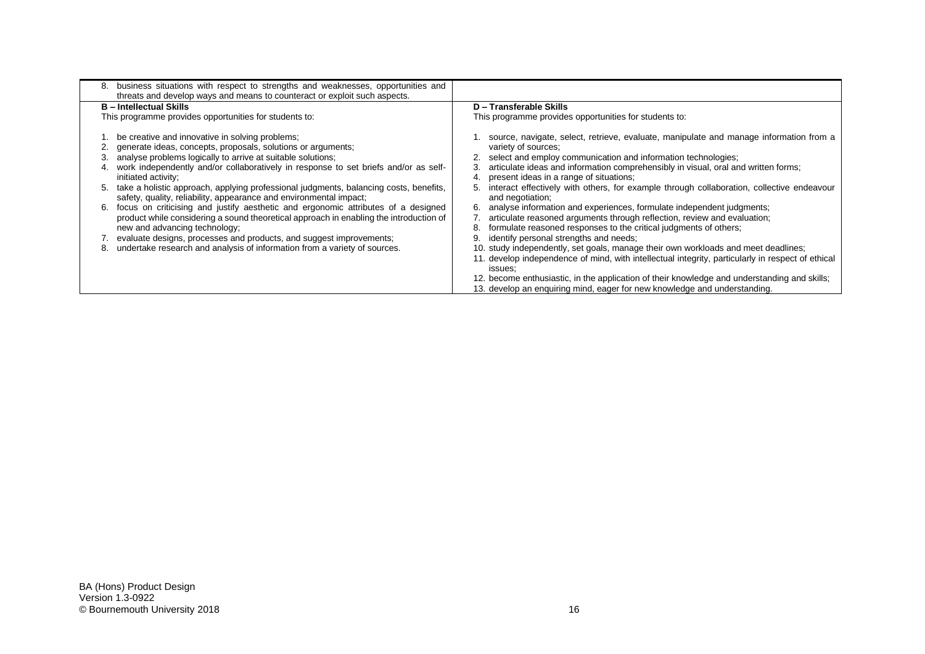| 8. | business situations with respect to strengths and weaknesses, opportunities and<br>threats and develop ways and means to counteract or exploit such aspects. |                                                                                                   |
|----|--------------------------------------------------------------------------------------------------------------------------------------------------------------|---------------------------------------------------------------------------------------------------|
|    | <b>B</b> - Intellectual Skills                                                                                                                               | D - Transferable Skills                                                                           |
|    | This programme provides opportunities for students to:                                                                                                       | This programme provides opportunities for students to:                                            |
|    | be creative and innovative in solving problems;                                                                                                              | source, navigate, select, retrieve, evaluate, manipulate and manage information from a            |
|    | generate ideas, concepts, proposals, solutions or arguments;                                                                                                 | variety of sources;                                                                               |
|    | analyse problems logically to arrive at suitable solutions;                                                                                                  | select and employ communication and information technologies;                                     |
|    | work independently and/or collaboratively in response to set briefs and/or as self-                                                                          | articulate ideas and information comprehensibly in visual, oral and written forms;                |
|    | initiated activity;                                                                                                                                          | present ideas in a range of situations;                                                           |
| 5. | take a holistic approach, applying professional judgments, balancing costs, benefits,                                                                        | interact effectively with others, for example through collaboration, collective endeavour         |
|    | safety, quality, reliability, appearance and environmental impact;                                                                                           | and negotiation;                                                                                  |
| 6. | focus on criticising and justify aesthetic and ergonomic attributes of a designed                                                                            | analyse information and experiences, formulate independent judgments;                             |
|    | product while considering a sound theoretical approach in enabling the introduction of                                                                       | articulate reasoned arguments through reflection, review and evaluation;                          |
|    | new and advancing technology;                                                                                                                                | formulate reasoned responses to the critical judgments of others;                                 |
|    | 7. evaluate designs, processes and products, and suggest improvements;                                                                                       | identify personal strengths and needs;                                                            |
| 8. | undertake research and analysis of information from a variety of sources.                                                                                    | 10. study independently, set goals, manage their own workloads and meet deadlines;                |
|    |                                                                                                                                                              | 11. develop independence of mind, with intellectual integrity, particularly in respect of ethical |
|    |                                                                                                                                                              | issues:                                                                                           |
|    |                                                                                                                                                              | 12. become enthusiastic, in the application of their knowledge and understanding and skills;      |
|    |                                                                                                                                                              | 13. develop an enquiring mind, eager for new knowledge and understanding.                         |
|    |                                                                                                                                                              |                                                                                                   |